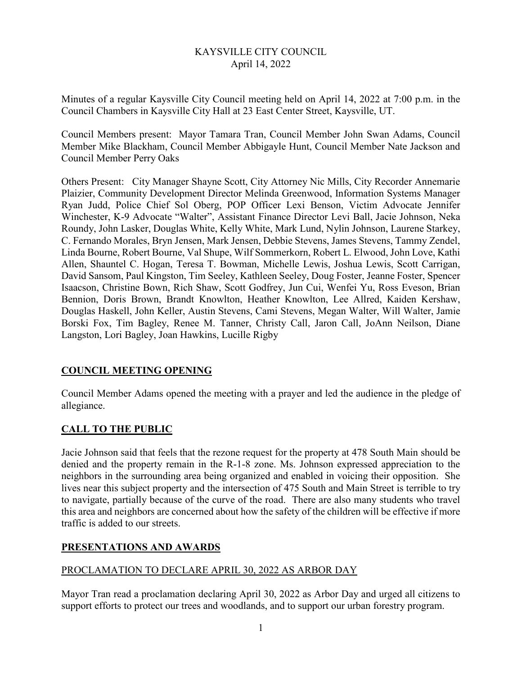# KAYSVILLE CITY COUNCIL April 14, 2022

Minutes of a regular Kaysville City Council meeting held on April 14, 2022 at 7:00 p.m. in the Council Chambers in Kaysville City Hall at 23 East Center Street, Kaysville, UT.

Council Members present: Mayor Tamara Tran, Council Member John Swan Adams, Council Member Mike Blackham, Council Member Abbigayle Hunt, Council Member Nate Jackson and Council Member Perry Oaks

Others Present: City Manager Shayne Scott, City Attorney Nic Mills, City Recorder Annemarie Plaizier, Community Development Director Melinda Greenwood, Information Systems Manager Ryan Judd, Police Chief Sol Oberg, POP Officer Lexi Benson, Victim Advocate Jennifer Winchester, K-9 Advocate "Walter", Assistant Finance Director Levi Ball, Jacie Johnson, Neka Roundy, John Lasker, Douglas White, Kelly White, Mark Lund, Nylin Johnson, Laurene Starkey, C. Fernando Morales, Bryn Jensen, Mark Jensen, Debbie Stevens, James Stevens, Tammy Zendel, Linda Bourne, Robert Bourne, Val Shupe, Wilf Sommerkorn, Robert L. Elwood, John Love, Kathi Allen, Shauntel C. Hogan, Teresa T. Bowman, Michelle Lewis, Joshua Lewis, Scott Carrigan, David Sansom, Paul Kingston, Tim Seeley, Kathleen Seeley, Doug Foster, Jeanne Foster, Spencer Isaacson, Christine Bown, Rich Shaw, Scott Godfrey, Jun Cui, Wenfei Yu, Ross Eveson, Brian Bennion, Doris Brown, Brandt Knowlton, Heather Knowlton, Lee Allred, Kaiden Kershaw, Douglas Haskell, John Keller, Austin Stevens, Cami Stevens, Megan Walter, Will Walter, Jamie Borski Fox, Tim Bagley, Renee M. Tanner, Christy Call, Jaron Call, JoAnn Neilson, Diane Langston, Lori Bagley, Joan Hawkins, Lucille Rigby

# **COUNCIL MEETING OPENING**

Council Member Adams opened the meeting with a prayer and led the audience in the pledge of allegiance.

# **CALL TO THE PUBLIC**

Jacie Johnson said that feels that the rezone request for the property at 478 South Main should be denied and the property remain in the R-1-8 zone. Ms. Johnson expressed appreciation to the neighbors in the surrounding area being organized and enabled in voicing their opposition. She lives near this subject property and the intersection of 475 South and Main Street is terrible to try to navigate, partially because of the curve of the road. There are also many students who travel this area and neighbors are concerned about how the safety of the children will be effective if more traffic is added to our streets.

# **PRESENTATIONS AND AWARDS**

## PROCLAMATION TO DECLARE APRIL 30, 2022 AS ARBOR DAY

Mayor Tran read a proclamation declaring April 30, 2022 as Arbor Day and urged all citizens to support efforts to protect our trees and woodlands, and to support our urban forestry program.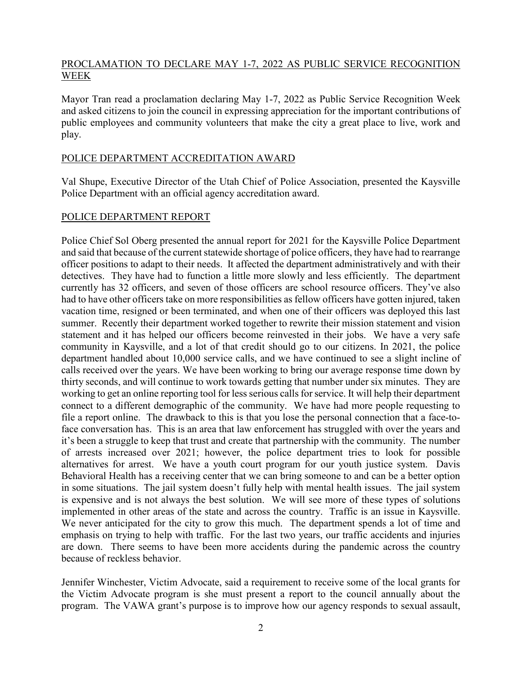### PROCLAMATION TO DECLARE MAY 1-7, 2022 AS PUBLIC SERVICE RECOGNITION WEEK

Mayor Tran read a proclamation declaring May 1-7, 2022 as Public Service Recognition Week and asked citizens to join the council in expressing appreciation for the important contributions of public employees and community volunteers that make the city a great place to live, work and play.

### POLICE DEPARTMENT ACCREDITATION AWARD

Val Shupe, Executive Director of the Utah Chief of Police Association, presented the Kaysville Police Department with an official agency accreditation award.

#### POLICE DEPARTMENT REPORT

Police Chief Sol Oberg presented the annual report for 2021 for the Kaysville Police Department and said that because of the current statewide shortage of police officers, they have had to rearrange officer positions to adapt to their needs. It affected the department administratively and with their detectives. They have had to function a little more slowly and less efficiently. The department currently has 32 officers, and seven of those officers are school resource officers. They've also had to have other officers take on more responsibilities as fellow officers have gotten injured, taken vacation time, resigned or been terminated, and when one of their officers was deployed this last summer. Recently their department worked together to rewrite their mission statement and vision statement and it has helped our officers become reinvested in their jobs. We have a very safe community in Kaysville, and a lot of that credit should go to our citizens. In 2021, the police department handled about 10,000 service calls, and we have continued to see a slight incline of calls received over the years. We have been working to bring our average response time down by thirty seconds, and will continue to work towards getting that number under six minutes. They are working to get an online reporting tool for less serious calls for service. It will help their department connect to a different demographic of the community. We have had more people requesting to file a report online. The drawback to this is that you lose the personal connection that a face-toface conversation has. This is an area that law enforcement has struggled with over the years and it's been a struggle to keep that trust and create that partnership with the community. The number of arrests increased over 2021; however, the police department tries to look for possible alternatives for arrest. We have a youth court program for our youth justice system. Davis Behavioral Health has a receiving center that we can bring someone to and can be a better option in some situations. The jail system doesn't fully help with mental health issues. The jail system is expensive and is not always the best solution. We will see more of these types of solutions implemented in other areas of the state and across the country. Traffic is an issue in Kaysville. We never anticipated for the city to grow this much. The department spends a lot of time and emphasis on trying to help with traffic. For the last two years, our traffic accidents and injuries are down. There seems to have been more accidents during the pandemic across the country because of reckless behavior.

Jennifer Winchester, Victim Advocate, said a requirement to receive some of the local grants for the Victim Advocate program is she must present a report to the council annually about the program. The VAWA grant's purpose is to improve how our agency responds to sexual assault,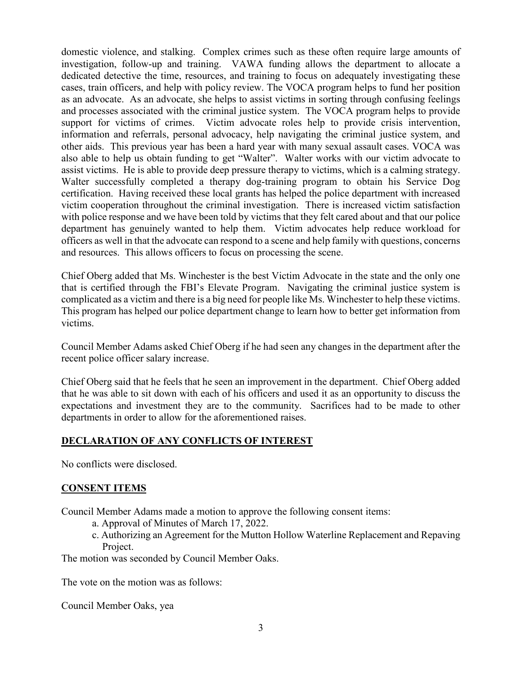domestic violence, and stalking. Complex crimes such as these often require large amounts of investigation, follow-up and training. VAWA funding allows the department to allocate a dedicated detective the time, resources, and training to focus on adequately investigating these cases, train officers, and help with policy review. The VOCA program helps to fund her position as an advocate. As an advocate, she helps to assist victims in sorting through confusing feelings and processes associated with the criminal justice system. The VOCA program helps to provide support for victims of crimes. Victim advocate roles help to provide crisis intervention, information and referrals, personal advocacy, help navigating the criminal justice system, and other aids. This previous year has been a hard year with many sexual assault cases. VOCA was also able to help us obtain funding to get "Walter". Walter works with our victim advocate to assist victims. He is able to provide deep pressure therapy to victims, which is a calming strategy. Walter successfully completed a therapy dog-training program to obtain his Service Dog certification. Having received these local grants has helped the police department with increased victim cooperation throughout the criminal investigation. There is increased victim satisfaction with police response and we have been told by victims that they felt cared about and that our police department has genuinely wanted to help them. Victim advocates help reduce workload for officers as well in that the advocate can respond to a scene and help family with questions, concerns and resources. This allows officers to focus on processing the scene.

Chief Oberg added that Ms. Winchester is the best Victim Advocate in the state and the only one that is certified through the FBI's Elevate Program. Navigating the criminal justice system is complicated as a victim and there is a big need for people like Ms. Winchester to help these victims. This program has helped our police department change to learn how to better get information from victims.

Council Member Adams asked Chief Oberg if he had seen any changes in the department after the recent police officer salary increase.

Chief Oberg said that he feels that he seen an improvement in the department. Chief Oberg added that he was able to sit down with each of his officers and used it as an opportunity to discuss the expectations and investment they are to the community. Sacrifices had to be made to other departments in order to allow for the aforementioned raises.

## **DECLARATION OF ANY CONFLICTS OF INTEREST**

No conflicts were disclosed.

#### **CONSENT ITEMS**

Council Member Adams made a motion to approve the following consent items:

- a. Approval of Minutes of March 17, 2022.
- c. Authorizing an Agreement for the Mutton Hollow Waterline Replacement and Repaving Project.

The motion was seconded by Council Member Oaks.

The vote on the motion was as follows:

Council Member Oaks, yea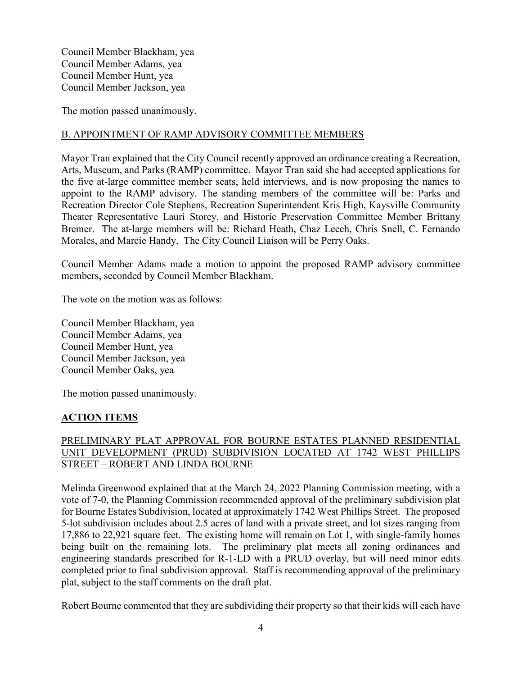Council Member Blackham, yea Council Member Adams, yea Council Member Hunt, yea Council Member Jackson, yea

The motion passed unanimously.

# B. APPOINTMENT OF RAMP ADVISORY COMMITTEE MEMBERS

Mayor Tran explained that the City Council recently approved an ordinance creating a Recreation, Arts, Museum, and Parks (RAMP) committee. Mayor Tran said she had accepted applications for the five at-large committee member seats, held interviews, and is now proposing the names to appoint to the RAMP advisory. The standing members of the committee will be: Parks and Recreation Director Cole Stephens, Recreation Superintendent Kris High, Kaysville Community Theater Representative Lauri Storey, and Historic Preservation Committee Member Brittany Bremer. The at-large members will be: Richard Heath, Chaz Leech, Chris Snell, C. Fernando Morales, and Marcie Handy. The City Council Liaison will be Perry Oaks.

Council Member Adams made a motion to appoint the proposed RAMP advisory committee members, seconded by Council Member Blackham.

The vote on the motion was as follows:

Council Member Blackham, yea Council Member Adams, yea Council Member Hunt, yea Council Member Jackson, yea Council Member Oaks, yea

The motion passed unanimously.

## **ACTION ITEMS**

# PRELIMINARY PLAT APPROVAL FOR BOURNE ESTATES PLANNED RESIDENTIAL UNIT DEVELOPMENT (PRUD) SUBDIVISION LOCATED AT 1742 WEST PHILLIPS STREET – ROBERT AND LINDA BOURNE

Melinda Greenwood explained that at the March 24, 2022 Planning Commission meeting, with a vote of 7-0, the Planning Commission recommended approval of the preliminary subdivision plat for Bourne Estates Subdivision, located at approximately 1742 West Phillips Street. The proposed 5-lot subdivision includes about 2.5 acres of land with a private street, and lot sizes ranging from 17,886 to 22,921 square feet. The existing home will remain on Lot 1, with single-family homes being built on the remaining lots. The preliminary plat meets all zoning ordinances and engineering standards prescribed for R-1-LD with a PRUD overlay, but will need minor edits completed prior to final subdivision approval. Staff is recommending approval of the preliminary plat, subject to the staff comments on the draft plat.

Robert Bourne commented that they are subdividing their property so that their kids will each have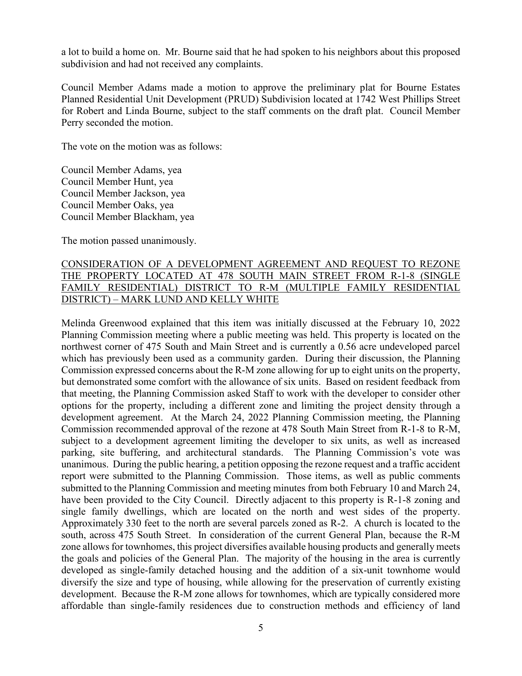a lot to build a home on. Mr. Bourne said that he had spoken to his neighbors about this proposed subdivision and had not received any complaints.

Council Member Adams made a motion to approve the preliminary plat for Bourne Estates Planned Residential Unit Development (PRUD) Subdivision located at 1742 West Phillips Street for Robert and Linda Bourne, subject to the staff comments on the draft plat. Council Member Perry seconded the motion.

The vote on the motion was as follows:

Council Member Adams, yea Council Member Hunt, yea Council Member Jackson, yea Council Member Oaks, yea Council Member Blackham, yea

The motion passed unanimously.

### CONSIDERATION OF A DEVELOPMENT AGREEMENT AND REQUEST TO REZONE THE PROPERTY LOCATED AT 478 SOUTH MAIN STREET FROM R-1-8 (SINGLE FAMILY RESIDENTIAL) DISTRICT TO R-M (MULTIPLE FAMILY RESIDENTIAL DISTRICT) – MARK LUND AND KELLY WHITE

Melinda Greenwood explained that this item was initially discussed at the February 10, 2022 Planning Commission meeting where a public meeting was held. This property is located on the northwest corner of 475 South and Main Street and is currently a 0.56 acre undeveloped parcel which has previously been used as a community garden. During their discussion, the Planning Commission expressed concerns about the R-M zone allowing for up to eight units on the property, but demonstrated some comfort with the allowance of six units. Based on resident feedback from that meeting, the Planning Commission asked Staff to work with the developer to consider other options for the property, including a different zone and limiting the project density through a development agreement. At the March 24, 2022 Planning Commission meeting, the Planning Commission recommended approval of the rezone at 478 South Main Street from R-1-8 to R-M, subject to a development agreement limiting the developer to six units, as well as increased parking, site buffering, and architectural standards. The Planning Commission's vote was unanimous. During the public hearing, a petition opposing the rezone request and a traffic accident report were submitted to the Planning Commission. Those items, as well as public comments submitted to the Planning Commission and meeting minutes from both February 10 and March 24, have been provided to the City Council. Directly adjacent to this property is R-1-8 zoning and single family dwellings, which are located on the north and west sides of the property. Approximately 330 feet to the north are several parcels zoned as R-2. A church is located to the south, across 475 South Street. In consideration of the current General Plan, because the R-M zone allows for townhomes, this project diversifies available housing products and generally meets the goals and policies of the General Plan. The majority of the housing in the area is currently developed as single-family detached housing and the addition of a six-unit townhome would diversify the size and type of housing, while allowing for the preservation of currently existing development. Because the R-M zone allows for townhomes, which are typically considered more affordable than single-family residences due to construction methods and efficiency of land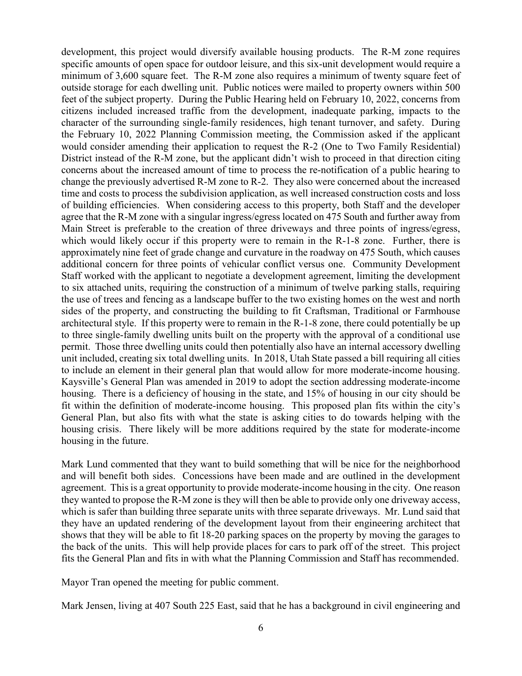development, this project would diversify available housing products. The R-M zone requires specific amounts of open space for outdoor leisure, and this six-unit development would require a minimum of 3,600 square feet. The R-M zone also requires a minimum of twenty square feet of outside storage for each dwelling unit. Public notices were mailed to property owners within 500 feet of the subject property. During the Public Hearing held on February 10, 2022, concerns from citizens included increased traffic from the development, inadequate parking, impacts to the character of the surrounding single-family residences, high tenant turnover, and safety. During the February 10, 2022 Planning Commission meeting, the Commission asked if the applicant would consider amending their application to request the R-2 (One to Two Family Residential) District instead of the R-M zone, but the applicant didn't wish to proceed in that direction citing concerns about the increased amount of time to process the re-notification of a public hearing to change the previously advertised R-M zone to R-2. They also were concerned about the increased time and costs to process the subdivision application, as well increased construction costs and loss of building efficiencies. When considering access to this property, both Staff and the developer agree that the R-M zone with a singular ingress/egress located on 475 South and further away from Main Street is preferable to the creation of three driveways and three points of ingress/egress, which would likely occur if this property were to remain in the R-1-8 zone. Further, there is approximately nine feet of grade change and curvature in the roadway on 475 South, which causes additional concern for three points of vehicular conflict versus one. Community Development Staff worked with the applicant to negotiate a development agreement, limiting the development to six attached units, requiring the construction of a minimum of twelve parking stalls, requiring the use of trees and fencing as a landscape buffer to the two existing homes on the west and north sides of the property, and constructing the building to fit Craftsman, Traditional or Farmhouse architectural style. If this property were to remain in the R-1-8 zone, there could potentially be up to three single-family dwelling units built on the property with the approval of a conditional use permit. Those three dwelling units could then potentially also have an internal accessory dwelling unit included, creating six total dwelling units. In 2018, Utah State passed a bill requiring all cities to include an element in their general plan that would allow for more moderate-income housing. Kaysville's General Plan was amended in 2019 to adopt the section addressing moderate-income housing. There is a deficiency of housing in the state, and 15% of housing in our city should be fit within the definition of moderate-income housing. This proposed plan fits within the city's General Plan, but also fits with what the state is asking cities to do towards helping with the housing crisis. There likely will be more additions required by the state for moderate-income housing in the future.

Mark Lund commented that they want to build something that will be nice for the neighborhood and will benefit both sides. Concessions have been made and are outlined in the development agreement. This is a great opportunity to provide moderate-income housing in the city. One reason they wanted to propose the R-M zone is they will then be able to provide only one driveway access, which is safer than building three separate units with three separate driveways. Mr. Lund said that they have an updated rendering of the development layout from their engineering architect that shows that they will be able to fit 18-20 parking spaces on the property by moving the garages to the back of the units. This will help provide places for cars to park off of the street. This project fits the General Plan and fits in with what the Planning Commission and Staff has recommended.

Mayor Tran opened the meeting for public comment.

Mark Jensen, living at 407 South 225 East, said that he has a background in civil engineering and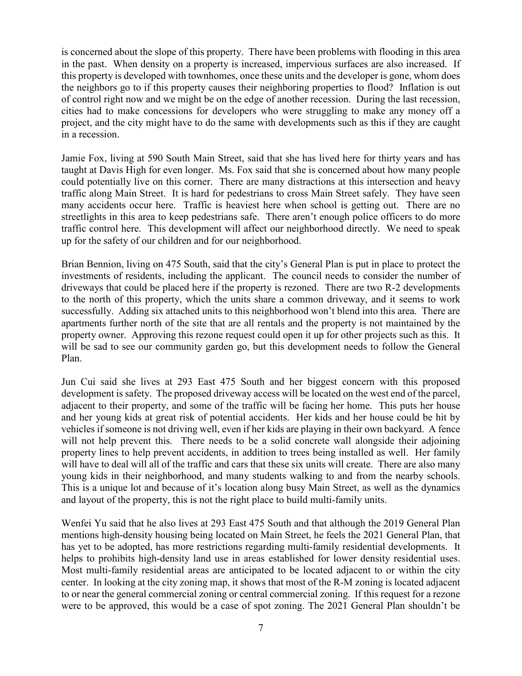is concerned about the slope of this property. There have been problems with flooding in this area in the past. When density on a property is increased, impervious surfaces are also increased. If this property is developed with townhomes, once these units and the developer is gone, whom does the neighbors go to if this property causes their neighboring properties to flood? Inflation is out of control right now and we might be on the edge of another recession. During the last recession, cities had to make concessions for developers who were struggling to make any money off a project, and the city might have to do the same with developments such as this if they are caught in a recession.

Jamie Fox, living at 590 South Main Street, said that she has lived here for thirty years and has taught at Davis High for even longer. Ms. Fox said that she is concerned about how many people could potentially live on this corner. There are many distractions at this intersection and heavy traffic along Main Street. It is hard for pedestrians to cross Main Street safely. They have seen many accidents occur here. Traffic is heaviest here when school is getting out. There are no streetlights in this area to keep pedestrians safe. There aren't enough police officers to do more traffic control here. This development will affect our neighborhood directly. We need to speak up for the safety of our children and for our neighborhood.

Brian Bennion, living on 475 South, said that the city's General Plan is put in place to protect the investments of residents, including the applicant. The council needs to consider the number of driveways that could be placed here if the property is rezoned. There are two R-2 developments to the north of this property, which the units share a common driveway, and it seems to work successfully. Adding six attached units to this neighborhood won't blend into this area. There are apartments further north of the site that are all rentals and the property is not maintained by the property owner. Approving this rezone request could open it up for other projects such as this. It will be sad to see our community garden go, but this development needs to follow the General Plan.

Jun Cui said she lives at 293 East 475 South and her biggest concern with this proposed development is safety. The proposed driveway access will be located on the west end of the parcel, adjacent to their property, and some of the traffic will be facing her home. This puts her house and her young kids at great risk of potential accidents. Her kids and her house could be hit by vehicles if someone is not driving well, even if her kids are playing in their own backyard. A fence will not help prevent this. There needs to be a solid concrete wall alongside their adjoining property lines to help prevent accidents, in addition to trees being installed as well. Her family will have to deal will all of the traffic and cars that these six units will create. There are also many young kids in their neighborhood, and many students walking to and from the nearby schools. This is a unique lot and because of it's location along busy Main Street, as well as the dynamics and layout of the property, this is not the right place to build multi-family units.

Wenfei Yu said that he also lives at 293 East 475 South and that although the 2019 General Plan mentions high-density housing being located on Main Street, he feels the 2021 General Plan, that has yet to be adopted, has more restrictions regarding multi-family residential developments. It helps to prohibits high-density land use in areas established for lower density residential uses. Most multi-family residential areas are anticipated to be located adjacent to or within the city center. In looking at the city zoning map, it shows that most of the R-M zoning is located adjacent to or near the general commercial zoning or central commercial zoning. If this request for a rezone were to be approved, this would be a case of spot zoning. The 2021 General Plan shouldn't be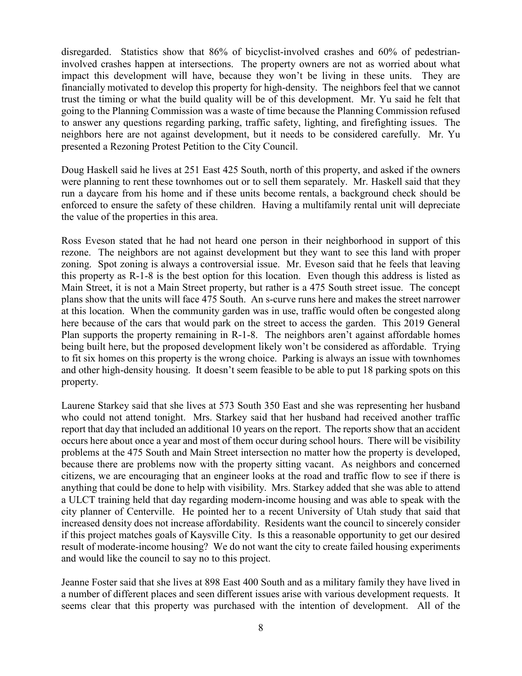disregarded. Statistics show that 86% of bicyclist-involved crashes and 60% of pedestrianinvolved crashes happen at intersections. The property owners are not as worried about what impact this development will have, because they won't be living in these units. They are financially motivated to develop this property for high-density. The neighbors feel that we cannot trust the timing or what the build quality will be of this development. Mr. Yu said he felt that going to the Planning Commission was a waste of time because the Planning Commission refused to answer any questions regarding parking, traffic safety, lighting, and firefighting issues. The neighbors here are not against development, but it needs to be considered carefully. Mr. Yu presented a Rezoning Protest Petition to the City Council.

Doug Haskell said he lives at 251 East 425 South, north of this property, and asked if the owners were planning to rent these townhomes out or to sell them separately. Mr. Haskell said that they run a daycare from his home and if these units become rentals, a background check should be enforced to ensure the safety of these children. Having a multifamily rental unit will depreciate the value of the properties in this area.

Ross Eveson stated that he had not heard one person in their neighborhood in support of this rezone. The neighbors are not against development but they want to see this land with proper zoning. Spot zoning is always a controversial issue. Mr. Eveson said that he feels that leaving this property as R-1-8 is the best option for this location. Even though this address is listed as Main Street, it is not a Main Street property, but rather is a 475 South street issue. The concept plans show that the units will face 475 South. An s-curve runs here and makes the street narrower at this location. When the community garden was in use, traffic would often be congested along here because of the cars that would park on the street to access the garden. This 2019 General Plan supports the property remaining in R-1-8. The neighbors aren't against affordable homes being built here, but the proposed development likely won't be considered as affordable. Trying to fit six homes on this property is the wrong choice. Parking is always an issue with townhomes and other high-density housing. It doesn't seem feasible to be able to put 18 parking spots on this property.

Laurene Starkey said that she lives at 573 South 350 East and she was representing her husband who could not attend tonight. Mrs. Starkey said that her husband had received another traffic report that day that included an additional 10 years on the report. The reports show that an accident occurs here about once a year and most of them occur during school hours. There will be visibility problems at the 475 South and Main Street intersection no matter how the property is developed, because there are problems now with the property sitting vacant. As neighbors and concerned citizens, we are encouraging that an engineer looks at the road and traffic flow to see if there is anything that could be done to help with visibility. Mrs. Starkey added that she was able to attend a ULCT training held that day regarding modern-income housing and was able to speak with the city planner of Centerville. He pointed her to a recent University of Utah study that said that increased density does not increase affordability. Residents want the council to sincerely consider if this project matches goals of Kaysville City. Is this a reasonable opportunity to get our desired result of moderate-income housing? We do not want the city to create failed housing experiments and would like the council to say no to this project.

Jeanne Foster said that she lives at 898 East 400 South and as a military family they have lived in a number of different places and seen different issues arise with various development requests. It seems clear that this property was purchased with the intention of development. All of the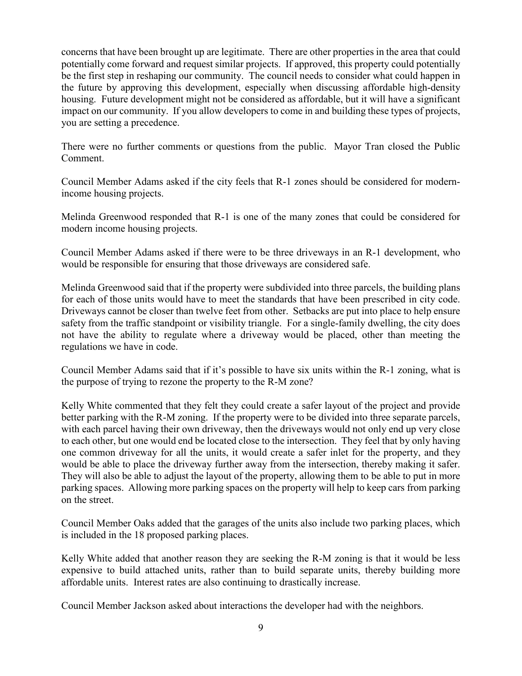concerns that have been brought up are legitimate. There are other properties in the area that could potentially come forward and request similar projects. If approved, this property could potentially be the first step in reshaping our community. The council needs to consider what could happen in the future by approving this development, especially when discussing affordable high-density housing. Future development might not be considered as affordable, but it will have a significant impact on our community. If you allow developers to come in and building these types of projects, you are setting a precedence.

There were no further comments or questions from the public. Mayor Tran closed the Public Comment.

Council Member Adams asked if the city feels that R-1 zones should be considered for modernincome housing projects.

Melinda Greenwood responded that R-1 is one of the many zones that could be considered for modern income housing projects.

Council Member Adams asked if there were to be three driveways in an R-1 development, who would be responsible for ensuring that those driveways are considered safe.

Melinda Greenwood said that if the property were subdivided into three parcels, the building plans for each of those units would have to meet the standards that have been prescribed in city code. Driveways cannot be closer than twelve feet from other. Setbacks are put into place to help ensure safety from the traffic standpoint or visibility triangle. For a single-family dwelling, the city does not have the ability to regulate where a driveway would be placed, other than meeting the regulations we have in code.

Council Member Adams said that if it's possible to have six units within the R-1 zoning, what is the purpose of trying to rezone the property to the R-M zone?

Kelly White commented that they felt they could create a safer layout of the project and provide better parking with the R-M zoning. If the property were to be divided into three separate parcels, with each parcel having their own driveway, then the driveways would not only end up very close to each other, but one would end be located close to the intersection. They feel that by only having one common driveway for all the units, it would create a safer inlet for the property, and they would be able to place the driveway further away from the intersection, thereby making it safer. They will also be able to adjust the layout of the property, allowing them to be able to put in more parking spaces. Allowing more parking spaces on the property will help to keep cars from parking on the street.

Council Member Oaks added that the garages of the units also include two parking places, which is included in the 18 proposed parking places.

Kelly White added that another reason they are seeking the R-M zoning is that it would be less expensive to build attached units, rather than to build separate units, thereby building more affordable units. Interest rates are also continuing to drastically increase.

Council Member Jackson asked about interactions the developer had with the neighbors.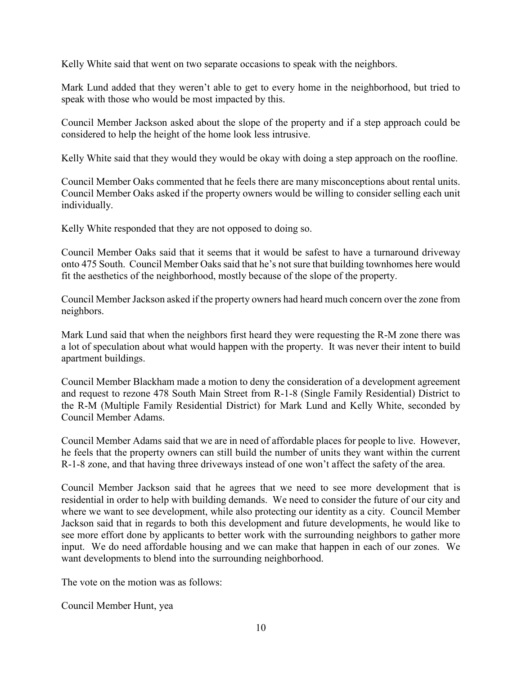Kelly White said that went on two separate occasions to speak with the neighbors.

Mark Lund added that they weren't able to get to every home in the neighborhood, but tried to speak with those who would be most impacted by this.

Council Member Jackson asked about the slope of the property and if a step approach could be considered to help the height of the home look less intrusive.

Kelly White said that they would they would be okay with doing a step approach on the roofline.

Council Member Oaks commented that he feels there are many misconceptions about rental units. Council Member Oaks asked if the property owners would be willing to consider selling each unit individually.

Kelly White responded that they are not opposed to doing so.

Council Member Oaks said that it seems that it would be safest to have a turnaround driveway onto 475 South. Council Member Oaks said that he's not sure that building townhomes here would fit the aesthetics of the neighborhood, mostly because of the slope of the property.

Council Member Jackson asked if the property owners had heard much concern over the zone from neighbors.

Mark Lund said that when the neighbors first heard they were requesting the R-M zone there was a lot of speculation about what would happen with the property. It was never their intent to build apartment buildings.

Council Member Blackham made a motion to deny the consideration of a development agreement and request to rezone 478 South Main Street from R-1-8 (Single Family Residential) District to the R-M (Multiple Family Residential District) for Mark Lund and Kelly White, seconded by Council Member Adams.

Council Member Adams said that we are in need of affordable places for people to live. However, he feels that the property owners can still build the number of units they want within the current R-1-8 zone, and that having three driveways instead of one won't affect the safety of the area.

Council Member Jackson said that he agrees that we need to see more development that is residential in order to help with building demands. We need to consider the future of our city and where we want to see development, while also protecting our identity as a city. Council Member Jackson said that in regards to both this development and future developments, he would like to see more effort done by applicants to better work with the surrounding neighbors to gather more input. We do need affordable housing and we can make that happen in each of our zones. We want developments to blend into the surrounding neighborhood.

The vote on the motion was as follows:

Council Member Hunt, yea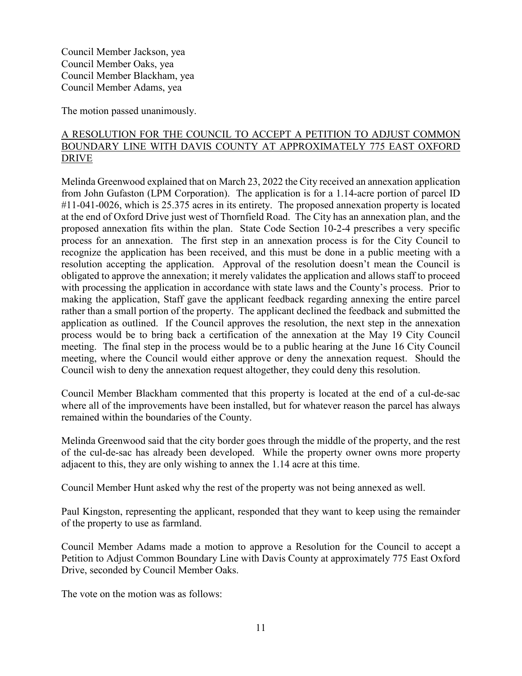Council Member Jackson, yea Council Member Oaks, yea Council Member Blackham, yea Council Member Adams, yea

The motion passed unanimously.

## A RESOLUTION FOR THE COUNCIL TO ACCEPT A PETITION TO ADJUST COMMON BOUNDARY LINE WITH DAVIS COUNTY AT APPROXIMATELY 775 EAST OXFORD DRIVE

Melinda Greenwood explained that on March 23, 2022 the City received an annexation application from John Gufaston (LPM Corporation). The application is for a 1.14-acre portion of parcel ID #11-041-0026, which is 25.375 acres in its entirety. The proposed annexation property is located at the end of Oxford Drive just west of Thornfield Road. The City has an annexation plan, and the proposed annexation fits within the plan. State Code Section 10-2-4 prescribes a very specific process for an annexation. The first step in an annexation process is for the City Council to recognize the application has been received, and this must be done in a public meeting with a resolution accepting the application. Approval of the resolution doesn't mean the Council is obligated to approve the annexation; it merely validates the application and allows staff to proceed with processing the application in accordance with state laws and the County's process. Prior to making the application, Staff gave the applicant feedback regarding annexing the entire parcel rather than a small portion of the property. The applicant declined the feedback and submitted the application as outlined. If the Council approves the resolution, the next step in the annexation process would be to bring back a certification of the annexation at the May 19 City Council meeting. The final step in the process would be to a public hearing at the June 16 City Council meeting, where the Council would either approve or deny the annexation request. Should the Council wish to deny the annexation request altogether, they could deny this resolution.

Council Member Blackham commented that this property is located at the end of a cul-de-sac where all of the improvements have been installed, but for whatever reason the parcel has always remained within the boundaries of the County.

Melinda Greenwood said that the city border goes through the middle of the property, and the rest of the cul-de-sac has already been developed. While the property owner owns more property adjacent to this, they are only wishing to annex the 1.14 acre at this time.

Council Member Hunt asked why the rest of the property was not being annexed as well.

Paul Kingston, representing the applicant, responded that they want to keep using the remainder of the property to use as farmland.

Council Member Adams made a motion to approve a Resolution for the Council to accept a Petition to Adjust Common Boundary Line with Davis County at approximately 775 East Oxford Drive, seconded by Council Member Oaks.

The vote on the motion was as follows: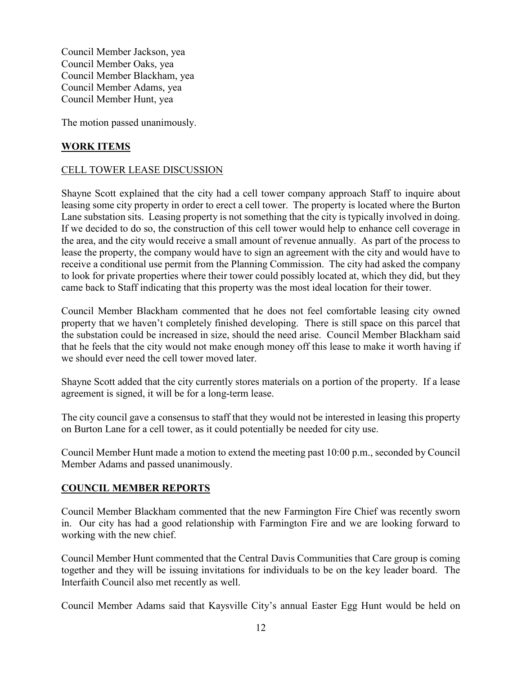Council Member Jackson, yea Council Member Oaks, yea Council Member Blackham, yea Council Member Adams, yea Council Member Hunt, yea

The motion passed unanimously.

#### **WORK ITEMS**

#### CELL TOWER LEASE DISCUSSION

Shayne Scott explained that the city had a cell tower company approach Staff to inquire about leasing some city property in order to erect a cell tower. The property is located where the Burton Lane substation sits. Leasing property is not something that the city is typically involved in doing. If we decided to do so, the construction of this cell tower would help to enhance cell coverage in the area, and the city would receive a small amount of revenue annually. As part of the process to lease the property, the company would have to sign an agreement with the city and would have to receive a conditional use permit from the Planning Commission. The city had asked the company to look for private properties where their tower could possibly located at, which they did, but they came back to Staff indicating that this property was the most ideal location for their tower.

Council Member Blackham commented that he does not feel comfortable leasing city owned property that we haven't completely finished developing. There is still space on this parcel that the substation could be increased in size, should the need arise. Council Member Blackham said that he feels that the city would not make enough money off this lease to make it worth having if we should ever need the cell tower moved later.

Shayne Scott added that the city currently stores materials on a portion of the property. If a lease agreement is signed, it will be for a long-term lease.

The city council gave a consensus to staff that they would not be interested in leasing this property on Burton Lane for a cell tower, as it could potentially be needed for city use.

Council Member Hunt made a motion to extend the meeting past 10:00 p.m., seconded by Council Member Adams and passed unanimously.

#### **COUNCIL MEMBER REPORTS**

Council Member Blackham commented that the new Farmington Fire Chief was recently sworn in. Our city has had a good relationship with Farmington Fire and we are looking forward to working with the new chief.

Council Member Hunt commented that the Central Davis Communities that Care group is coming together and they will be issuing invitations for individuals to be on the key leader board. The Interfaith Council also met recently as well.

Council Member Adams said that Kaysville City's annual Easter Egg Hunt would be held on